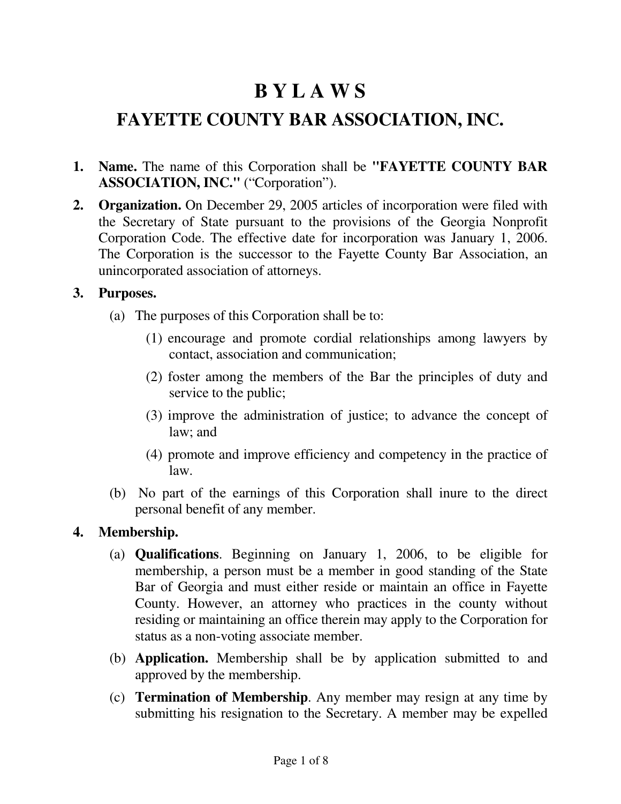# **B Y L A W S**

## **FAYETTE COUNTY BAR ASSOCIATION, INC.**

- **1. Name.** The name of this Corporation shall be **"FAYETTE COUNTY BAR ASSOCIATION, INC."** ("Corporation").
- **2. Organization.** On December 29, 2005 articles of incorporation were filed with the Secretary of State pursuant to the provisions of the Georgia Nonprofit Corporation Code. The effective date for incorporation was January 1, 2006. The Corporation is the successor to the Fayette County Bar Association, an unincorporated association of attorneys.

#### **3. Purposes.**

- (a) The purposes of this Corporation shall be to:
	- (1) encourage and promote cordial relationships among lawyers by contact, association and communication;
	- (2) foster among the members of the Bar the principles of duty and service to the public;
	- (3) improve the administration of justice; to advance the concept of law; and
	- (4) promote and improve efficiency and competency in the practice of law.
- (b) No part of the earnings of this Corporation shall inure to the direct personal benefit of any member.

#### **4. Membership.**

- (a) **Qualifications**. Beginning on January 1, 2006, to be eligible for membership, a person must be a member in good standing of the State Bar of Georgia and must either reside or maintain an office in Fayette County. However, an attorney who practices in the county without residing or maintaining an office therein may apply to the Corporation for status as a non-voting associate member.
- (b) **Application.** Membership shall be by application submitted to and approved by the membership.
- (c) **Termination of Membership**. Any member may resign at any time by submitting his resignation to the Secretary. A member may be expelled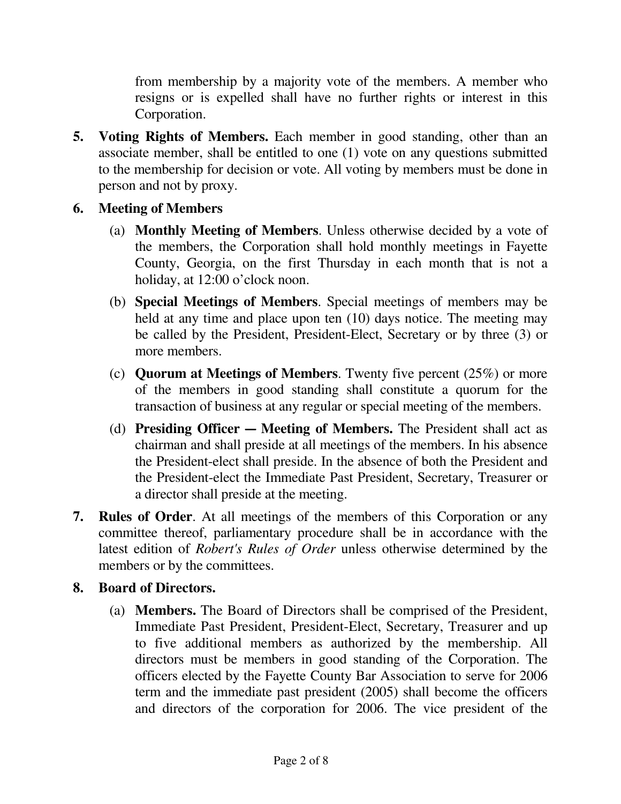from membership by a majority vote of the members. A member who resigns or is expelled shall have no further rights or interest in this Corporation.

**5. Voting Rights of Members.** Each member in good standing, other than an associate member, shall be entitled to one (1) vote on any questions submitted to the membership for decision or vote. All voting by members must be done in person and not by proxy.

### **6. Meeting of Members**

- (a) **Monthly Meeting of Members**. Unless otherwise decided by a vote of the members, the Corporation shall hold monthly meetings in Fayette County, Georgia, on the first Thursday in each month that is not a holiday, at 12:00 o'clock noon.
- (b) **Special Meetings of Members**. Special meetings of members may be held at any time and place upon ten (10) days notice. The meeting may be called by the President, President-Elect, Secretary or by three (3) or more members.
- (c) **Quorum at Meetings of Members**. Twenty five percent (25%) or more of the members in good standing shall constitute a quorum for the transaction of business at any regular or special meeting of the members.
- (d) **Presiding Officer Meeting of Members.** The President shall act as chairman and shall preside at all meetings of the members. In his absence the President-elect shall preside. In the absence of both the President and the President-elect the Immediate Past President, Secretary, Treasurer or a director shall preside at the meeting.
- **7. Rules of Order**. At all meetings of the members of this Corporation or any committee thereof, parliamentary procedure shall be in accordance with the latest edition of *Robert's Rules of Order* unless otherwise determined by the members or by the committees.

### **8. Board of Directors.**

(a) **Members.** The Board of Directors shall be comprised of the President, Immediate Past President, President-Elect, Secretary, Treasurer and up to five additional members as authorized by the membership. All directors must be members in good standing of the Corporation. The officers elected by the Fayette County Bar Association to serve for 2006 term and the immediate past president (2005) shall become the officers and directors of the corporation for 2006. The vice president of the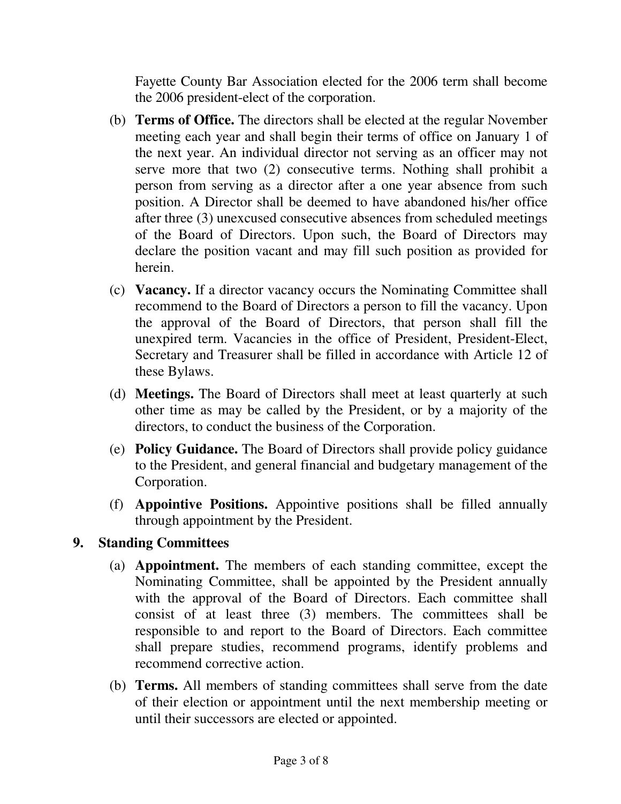Fayette County Bar Association elected for the 2006 term shall become the 2006 president-elect of the corporation.

- (b) **Terms of Office.** The directors shall be elected at the regular November meeting each year and shall begin their terms of office on January 1 of the next year. An individual director not serving as an officer may not serve more that two (2) consecutive terms. Nothing shall prohibit a person from serving as a director after a one year absence from such position. A Director shall be deemed to have abandoned his/her office after three (3) unexcused consecutive absences from scheduled meetings of the Board of Directors. Upon such, the Board of Directors may declare the position vacant and may fill such position as provided for herein.
- (c) **Vacancy.** If a director vacancy occurs the Nominating Committee shall recommend to the Board of Directors a person to fill the vacancy. Upon the approval of the Board of Directors, that person shall fill the unexpired term. Vacancies in the office of President, President-Elect, Secretary and Treasurer shall be filled in accordance with Article 12 of these Bylaws.
- (d) **Meetings.** The Board of Directors shall meet at least quarterly at such other time as may be called by the President, or by a majority of the directors, to conduct the business of the Corporation.
- (e) **Policy Guidance.** The Board of Directors shall provide policy guidance to the President, and general financial and budgetary management of the Corporation.
- (f) **Appointive Positions.** Appointive positions shall be filled annually through appointment by the President.

### **9. Standing Committees**

- (a) **Appointment.** The members of each standing committee, except the Nominating Committee, shall be appointed by the President annually with the approval of the Board of Directors. Each committee shall consist of at least three (3) members. The committees shall be responsible to and report to the Board of Directors. Each committee shall prepare studies, recommend programs, identify problems and recommend corrective action.
- (b) **Terms.** All members of standing committees shall serve from the date of their election or appointment until the next membership meeting or until their successors are elected or appointed.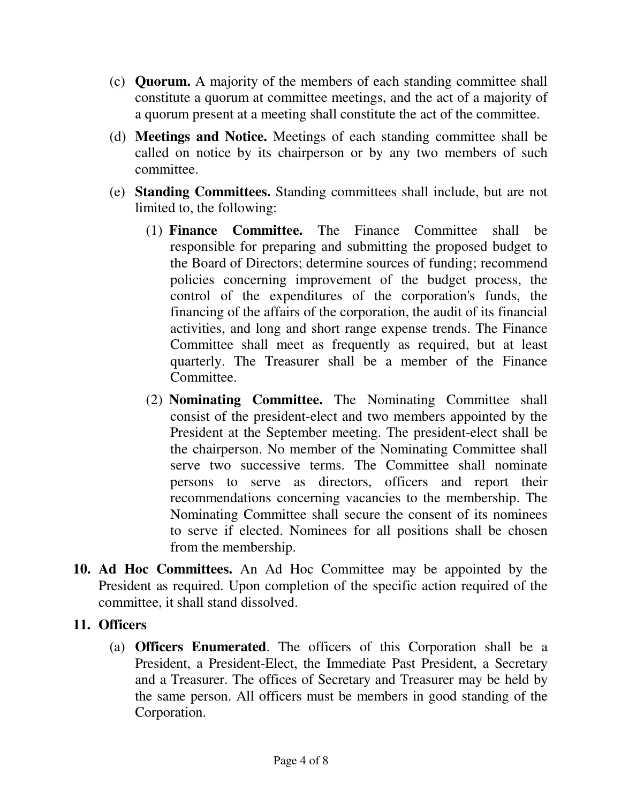- (c) **Quorum.** A majority of the members of each standing committee shall constitute a quorum at committee meetings, and the act of a majority of a quorum present at a meeting shall constitute the act of the committee.
- (d) **Meetings and Notice.** Meetings of each standing committee shall be called on notice by its chairperson or by any two members of such committee.
- (e) **Standing Committees.** Standing committees shall include, but are not limited to, the following:
	- (1) **Finance Committee.** The Finance Committee shall be responsible for preparing and submitting the proposed budget to the Board of Directors; determine sources of funding; recommend policies concerning improvement of the budget process, the control of the expenditures of the corporation's funds, the financing of the affairs of the corporation, the audit of its financial activities, and long and short range expense trends. The Finance Committee shall meet as frequently as required, but at least quarterly. The Treasurer shall be a member of the Finance Committee.
	- (2) **Nominating Committee.** The Nominating Committee shall consist of the president-elect and two members appointed by the President at the September meeting. The president-elect shall be the chairperson. No member of the Nominating Committee shall serve two successive terms. The Committee shall nominate persons to serve as directors, officers and report their recommendations concerning vacancies to the membership. The Nominating Committee shall secure the consent of its nominees to serve if elected. Nominees for all positions shall be chosen from the membership.
- **10. Ad Hoc Committees.** An Ad Hoc Committee may be appointed by the President as required. Upon completion of the specific action required of the committee, it shall stand dissolved.

### **11. Officers**

(a) **Officers Enumerated**. The officers of this Corporation shall be a President, a President-Elect, the Immediate Past President, a Secretary and a Treasurer. The offices of Secretary and Treasurer may be held by the same person. All officers must be members in good standing of the Corporation.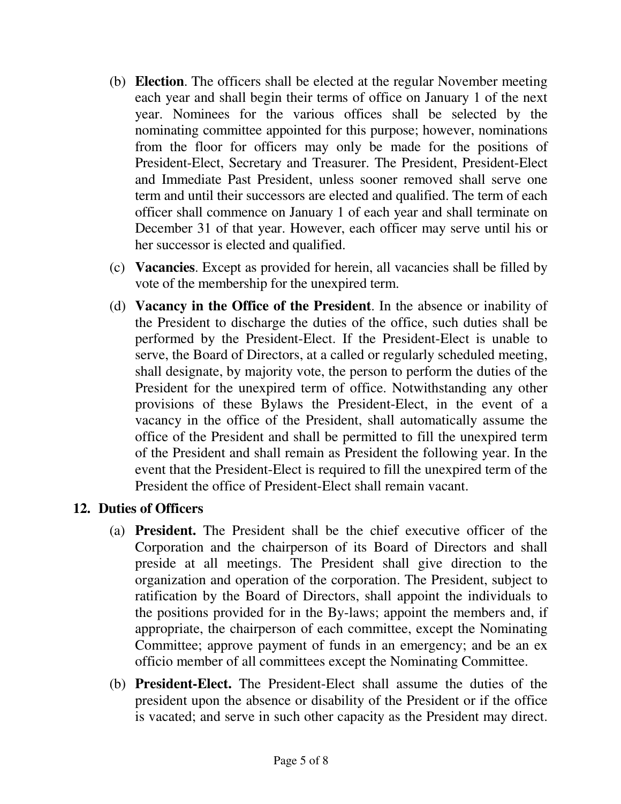- (b) **Election**. The officers shall be elected at the regular November meeting each year and shall begin their terms of office on January 1 of the next year. Nominees for the various offices shall be selected by the nominating committee appointed for this purpose; however, nominations from the floor for officers may only be made for the positions of President-Elect, Secretary and Treasurer. The President, President-Elect and Immediate Past President, unless sooner removed shall serve one term and until their successors are elected and qualified. The term of each officer shall commence on January 1 of each year and shall terminate on December 31 of that year. However, each officer may serve until his or her successor is elected and qualified.
- (c) **Vacancies**. Except as provided for herein, all vacancies shall be filled by vote of the membership for the unexpired term.
- (d) **Vacancy in the Office of the President**. In the absence or inability of the President to discharge the duties of the office, such duties shall be performed by the President-Elect. If the President-Elect is unable to serve, the Board of Directors, at a called or regularly scheduled meeting, shall designate, by majority vote, the person to perform the duties of the President for the unexpired term of office. Notwithstanding any other provisions of these Bylaws the President-Elect, in the event of a vacancy in the office of the President, shall automatically assume the office of the President and shall be permitted to fill the unexpired term of the President and shall remain as President the following year. In the event that the President-Elect is required to fill the unexpired term of the President the office of President-Elect shall remain vacant.

### **12. Duties of Officers**

- (a) **President.** The President shall be the chief executive officer of the Corporation and the chairperson of its Board of Directors and shall preside at all meetings. The President shall give direction to the organization and operation of the corporation. The President, subject to ratification by the Board of Directors, shall appoint the individuals to the positions provided for in the By-laws; appoint the members and, if appropriate, the chairperson of each committee, except the Nominating Committee; approve payment of funds in an emergency; and be an ex officio member of all committees except the Nominating Committee.
- (b) **President-Elect.** The President-Elect shall assume the duties of the president upon the absence or disability of the President or if the office is vacated; and serve in such other capacity as the President may direct.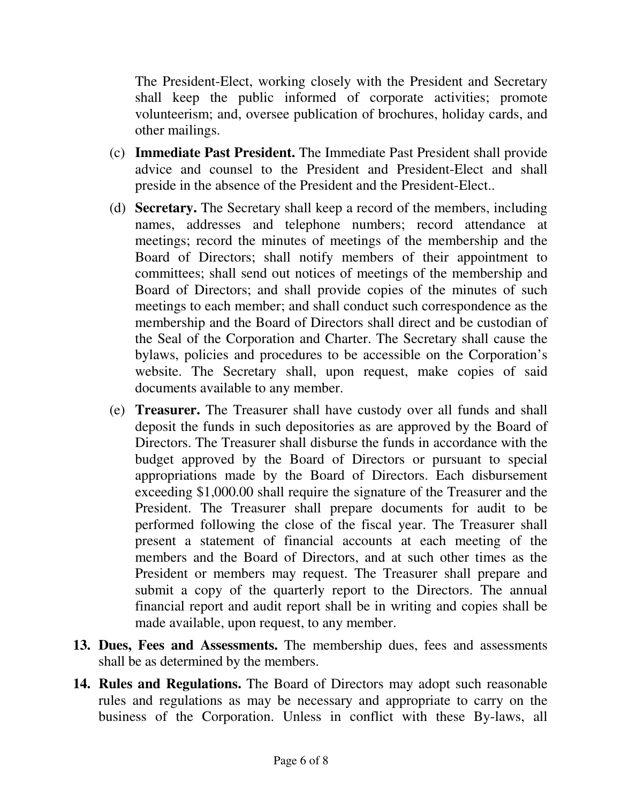The President-Elect, working closely with the President and Secretary shall keep the public informed of corporate activities; promote volunteerism; and, oversee publication of brochures, holiday cards, and other mailings.

- (c) **Immediate Past President.** The Immediate Past President shall provide advice and counsel to the President and President-Elect and shall preside in the absence of the President and the President-Elect..
- (d) **Secretary.** The Secretary shall keep a record of the members, including names, addresses and telephone numbers; record attendance at meetings; record the minutes of meetings of the membership and the Board of Directors; shall notify members of their appointment to committees; shall send out notices of meetings of the membership and Board of Directors; and shall provide copies of the minutes of such meetings to each member; and shall conduct such correspondence as the membership and the Board of Directors shall direct and be custodian of the Seal of the Corporation and Charter. The Secretary shall cause the bylaws, policies and procedures to be accessible on the Corporation's website. The Secretary shall, upon request, make copies of said documents available to any member.
- (e) **Treasurer.** The Treasurer shall have custody over all funds and shall deposit the funds in such depositories as are approved by the Board of Directors. The Treasurer shall disburse the funds in accordance with the budget approved by the Board of Directors or pursuant to special appropriations made by the Board of Directors. Each disbursement exceeding \$1,000.00 shall require the signature of the Treasurer and the President. The Treasurer shall prepare documents for audit to be performed following the close of the fiscal year. The Treasurer shall present a statement of financial accounts at each meeting of the members and the Board of Directors, and at such other times as the President or members may request. The Treasurer shall prepare and submit a copy of the quarterly report to the Directors. The annual financial report and audit report shall be in writing and copies shall be made available, upon request, to any member.
- **13. Dues, Fees and Assessments.** The membership dues, fees and assessments shall be as determined by the members.
- **14. Rules and Regulations.** The Board of Directors may adopt such reasonable rules and regulations as may be necessary and appropriate to carry on the business of the Corporation. Unless in conflict with these By-laws, all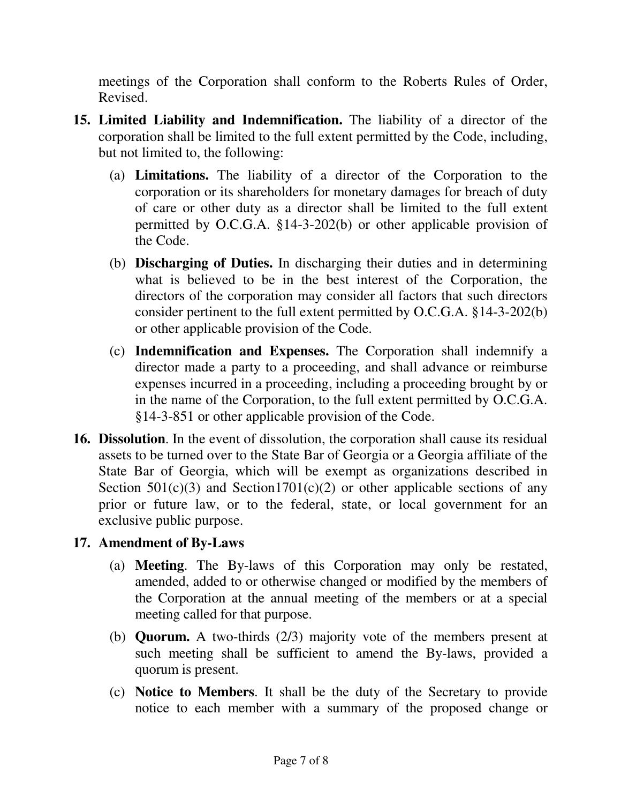meetings of the Corporation shall conform to the Roberts Rules of Order, Revised.

- **15. Limited Liability and Indemnification.** The liability of a director of the corporation shall be limited to the full extent permitted by the Code, including, but not limited to, the following:
	- (a) **Limitations.** The liability of a director of the Corporation to the corporation or its shareholders for monetary damages for breach of duty of care or other duty as a director shall be limited to the full extent permitted by O.C.G.A. §14-3-202(b) or other applicable provision of the Code.
	- (b) **Discharging of Duties.** In discharging their duties and in determining what is believed to be in the best interest of the Corporation, the directors of the corporation may consider all factors that such directors consider pertinent to the full extent permitted by O.C.G.A. §14-3-202(b) or other applicable provision of the Code.
	- (c) **Indemnification and Expenses.** The Corporation shall indemnify a director made a party to a proceeding, and shall advance or reimburse expenses incurred in a proceeding, including a proceeding brought by or in the name of the Corporation, to the full extent permitted by O.C.G.A. §14-3-851 or other applicable provision of the Code.
- **16. Dissolution**. In the event of dissolution, the corporation shall cause its residual assets to be turned over to the State Bar of Georgia or a Georgia affiliate of the State Bar of Georgia, which will be exempt as organizations described in Section  $501(c)(3)$  and Section1701(c)(2) or other applicable sections of any prior or future law, or to the federal, state, or local government for an exclusive public purpose.

## **17. Amendment of By-Laws**

- (a) **Meeting**. The By-laws of this Corporation may only be restated, amended, added to or otherwise changed or modified by the members of the Corporation at the annual meeting of the members or at a special meeting called for that purpose.
- (b) **Quorum.** A two-thirds (2/3) majority vote of the members present at such meeting shall be sufficient to amend the By-laws, provided a quorum is present.
- (c) **Notice to Members**. It shall be the duty of the Secretary to provide notice to each member with a summary of the proposed change or